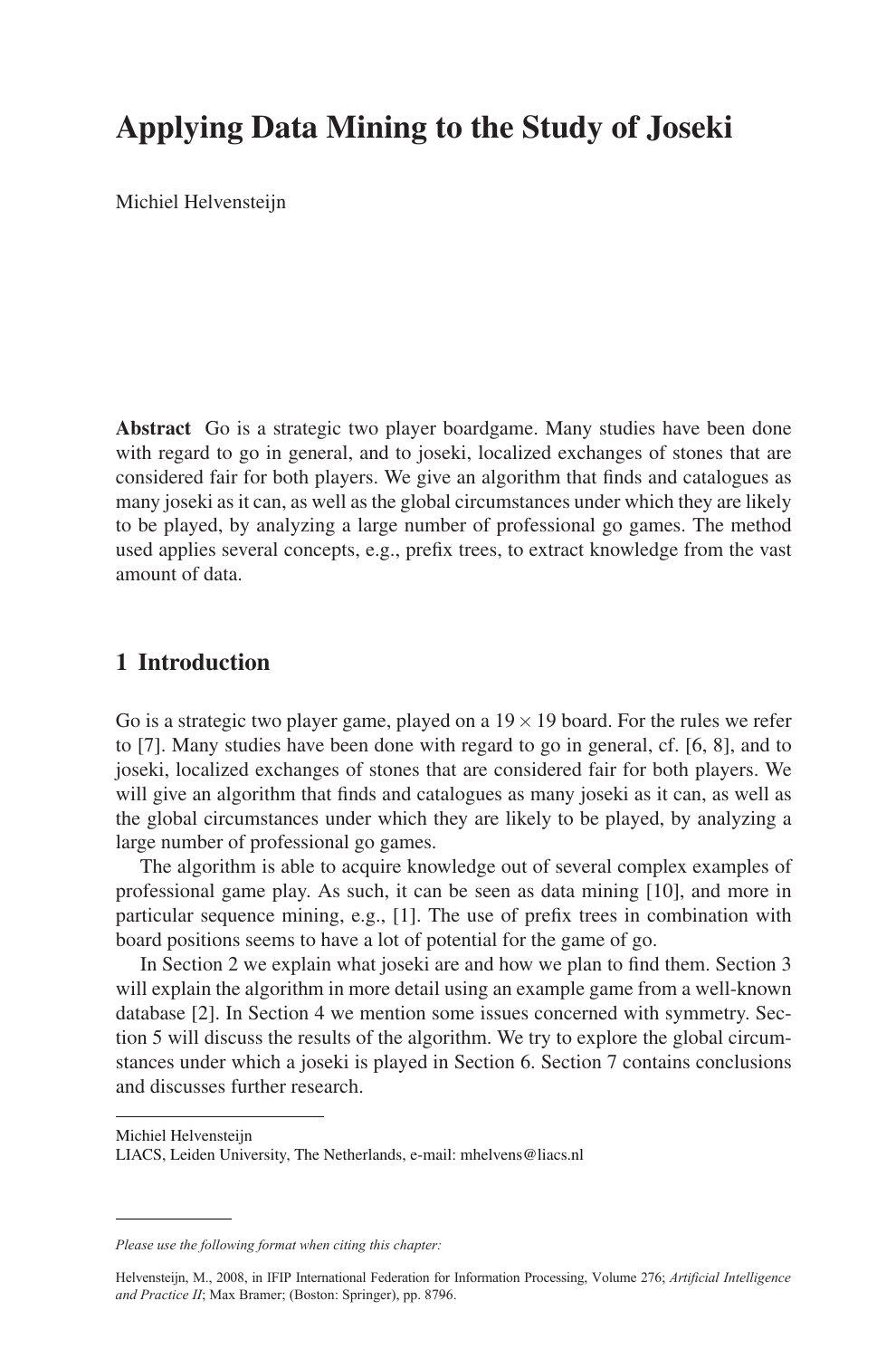# Applying Data Mining to the Study of Joseki

Michiel Helvensteijn

Abstract Go is a strategic two player boardgame. Many studies have been done with regard to go in general, and to joseki, localized exchanges of stones that are considered fair for both players. We give an algorithm that finds and catalogues as many joseki as it can, as well as the global circumstances under which they are likely to be played, by analyzing a large number of professional go games. The method used applies several concepts, e.g., prefix trees, to extract knowledge from the vast amount of data.

# 1 Introduction

Go is a strategic two player game, played on a  $19 \times 19$  board. For the rules we refer to [7]. Many studies have been done with regard to go in general, cf. [6, 8], and to joseki, localized exchanges of stones that are considered fair for both players. We will give an algorithm that finds and catalogues as many joseki as it can, as well as the global circumstances under which they are likely to be played, by analyzing a large number of professional go games.

The algorithm is able to acquire knowledge out of several complex examples of professional game play. As such, it can be seen as data mining [10], and more in particular sequence mining, e.g., [1]. The use of prefix trees in combination with board positions seems to have a lot of potential for the game of go.

In Section 2 we explain what joseki are and how we plan to find them. Section 3 will explain the algorithm in more detail using an example game from a well-known database [2]. In Section 4 we mention some issues concerned with symmetry. Section 5 will discuss the results of the algorithm. We try to explore the global circumstances under which a joseki is played in Section 6. Section 7 contains conclusions and discusses further research.

Michiel Helvensteijn

LIACS, Leiden University, The Netherlands, e-mail: mhelvens@liacs.nl

*Please use the following format when citing this chapter:* 

Helvensteijn, M., 2008, in IFIP International Federation for Information Processing, Volume 276; *Artificial Intelligence and Practice II*; Max Bramer; (Boston: Springer), pp. 8796.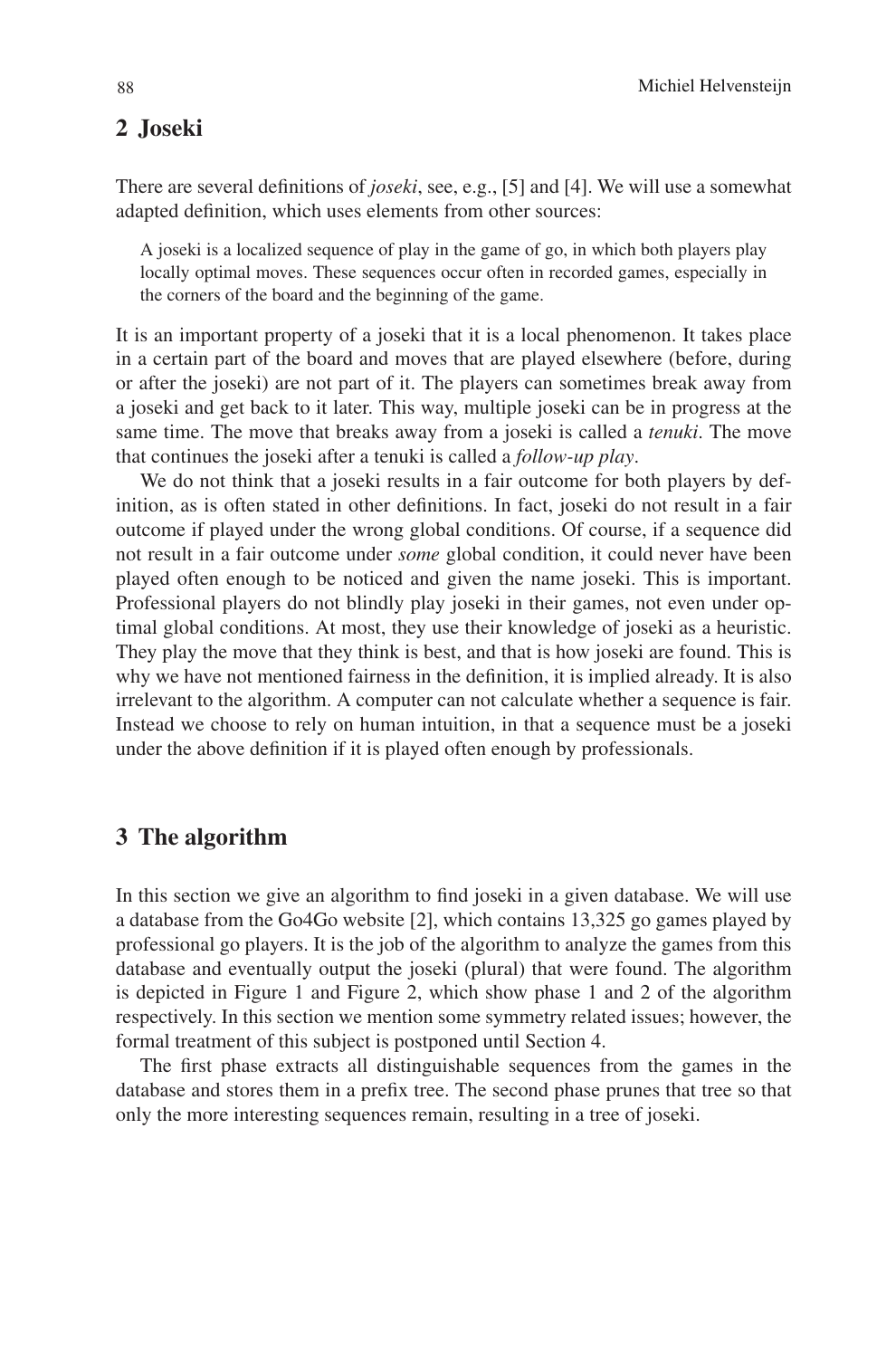# 2 Joseki

There are several definitions of *joseki*, see, e.g., [5] and [4]. We will use a somewhat adapted definition, which uses elements from other sources:

A joseki is a localized sequence of play in the game of go, in which both players play locally optimal moves. These sequences occur often in recorded games, especially in the corners of the board and the beginning of the game.

It is an important property of a joseki that it is a local phenomenon. It takes place in a certain part of the board and moves that are played elsewhere (before, during or after the joseki) are not part of it. The players can sometimes break away from a joseki and get back to it later. This way, multiple joseki can be in progress at the same time. The move that breaks away from a joseki is called a *tenuki*. The move that continues the joseki after a tenuki is called a *follow-up play*.

We do not think that a joseki results in a fair outcome for both players by definition, as is often stated in other definitions. In fact, joseki do not result in a fair outcome if played under the wrong global conditions. Of course, if a sequence did not result in a fair outcome under *some* global condition, it could never have been played often enough to be noticed and given the name joseki. This is important. Professional players do not blindly play joseki in their games, not even under optimal global conditions. At most, they use their knowledge of joseki as a heuristic. They play the move that they think is best, and that is how joseki are found. This is why we have not mentioned fairness in the definition, it is implied already. It is also irrelevant to the algorithm. A computer can not calculate whether a sequence is fair. Instead we choose to rely on human intuition, in that a sequence must be a joseki under the above definition if it is played often enough by professionals.

## 3 The algorithm

In this section we give an algorithm to find joseki in a given database. We will use a database from the Go4Go website [2], which contains 13,325 go games played by professional go players. It is the job of the algorithm to analyze the games from this database and eventually output the joseki (plural) that were found. The algorithm is depicted in Figure 1 and Figure 2, which show phase 1 and 2 of the algorithm respectively. In this section we mention some symmetry related issues; however, the formal treatment of this subject is postponed until Section 4.

The first phase extracts all distinguishable sequences from the games in the database and stores them in a prefix tree. The second phase prunes that tree so that only the more interesting sequences remain, resulting in a tree of joseki.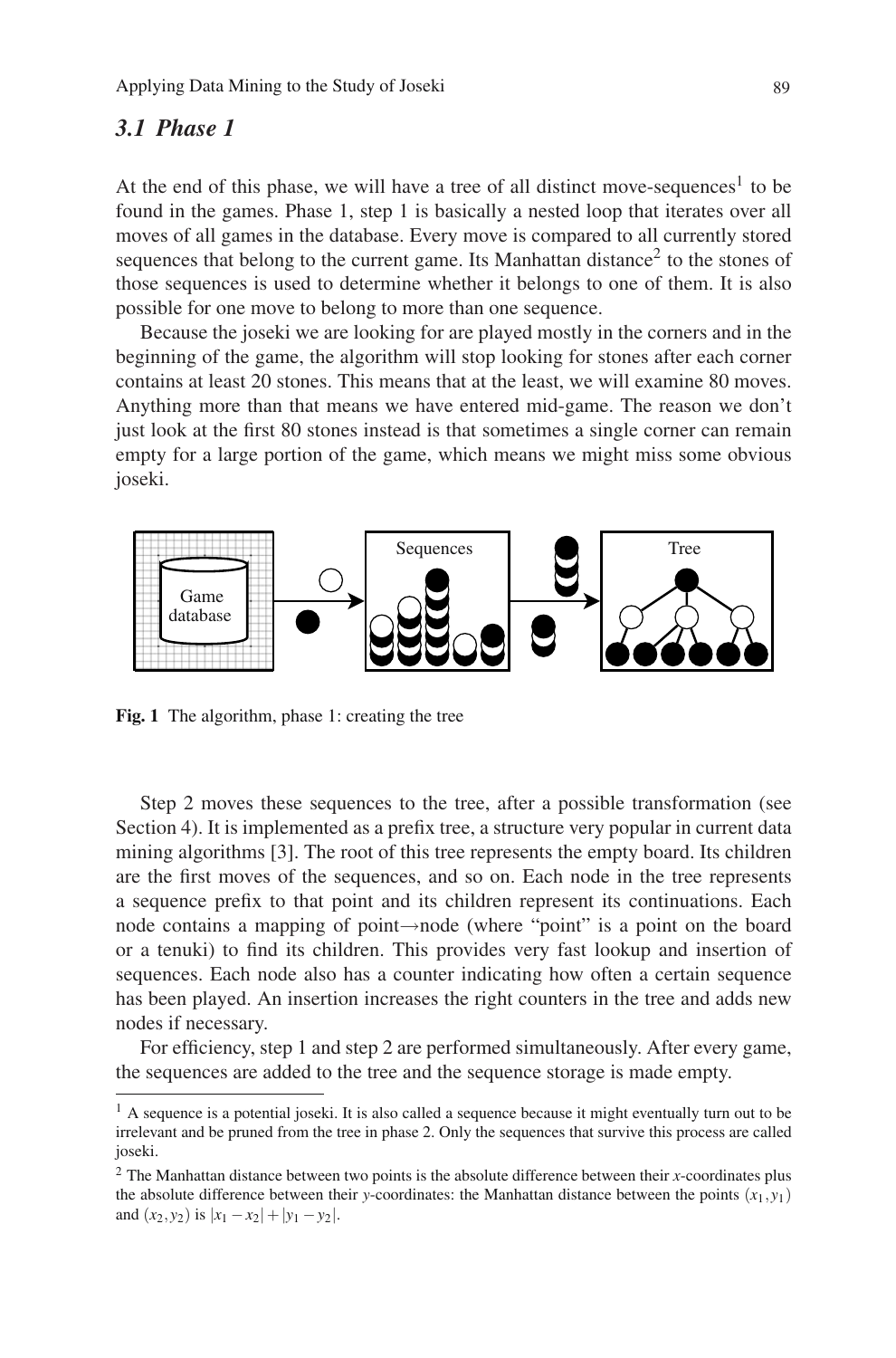## *3.1 Phase 1*

At the end of this phase, we will have a tree of all distinct move-sequences<sup>1</sup> to be found in the games. Phase 1, step 1 is basically a nested loop that iterates over all moves of all games in the database. Every move is compared to all currently stored sequences that belong to the current game. Its Manhattan distance<sup>2</sup> to the stones of those sequences is used to determine whether it belongs to one of them. It is also possible for one move to belong to more than one sequence.

Because the joseki we are looking for are played mostly in the corners and in the beginning of the game, the algorithm will stop looking for stones after each corner contains at least 20 stones. This means that at the least, we will examine 80 moves. Anything more than that means we have entered mid-game. The reason we don't just look at the first 80 stones instead is that sometimes a single corner can remain empty for a large portion of the game, which means we might miss some obvious joseki.



Fig. 1 The algorithm, phase 1: creating the tree

Step 2 moves these sequences to the tree, after a possible transformation (see Section 4). It is implemented as a prefix tree, a structure very popular in current data mining algorithms [3]. The root of this tree represents the empty board. Its children are the first moves of the sequences, and so on. Each node in the tree represents a sequence prefix to that point and its children represent its continuations. Each node contains a mapping of point→node (where "point" is a point on the board or a tenuki) to find its children. This provides very fast lookup and insertion of sequences. Each node also has a counter indicating how often a certain sequence has been played. An insertion increases the right counters in the tree and adds new nodes if necessary.

For efficiency, step 1 and step 2 are performed simultaneously. After every game, the sequences are added to the tree and the sequence storage is made empty.

 $<sup>1</sup>$  A sequence is a potential joseki. It is also called a sequence because it might eventually turn out to be</sup> irrelevant and be pruned from the tree in phase 2. Only the sequences that survive this process are called joseki.

<sup>2</sup> The Manhattan distance between two points is the absolute difference between their *x*-coordinates plus the absolute difference between their *y*-coordinates: the Manhattan distance between the points  $(x_1, y_1)$ and  $(x_2, y_2)$  is  $|x_1 - x_2| + |y_1 - y_2|$ .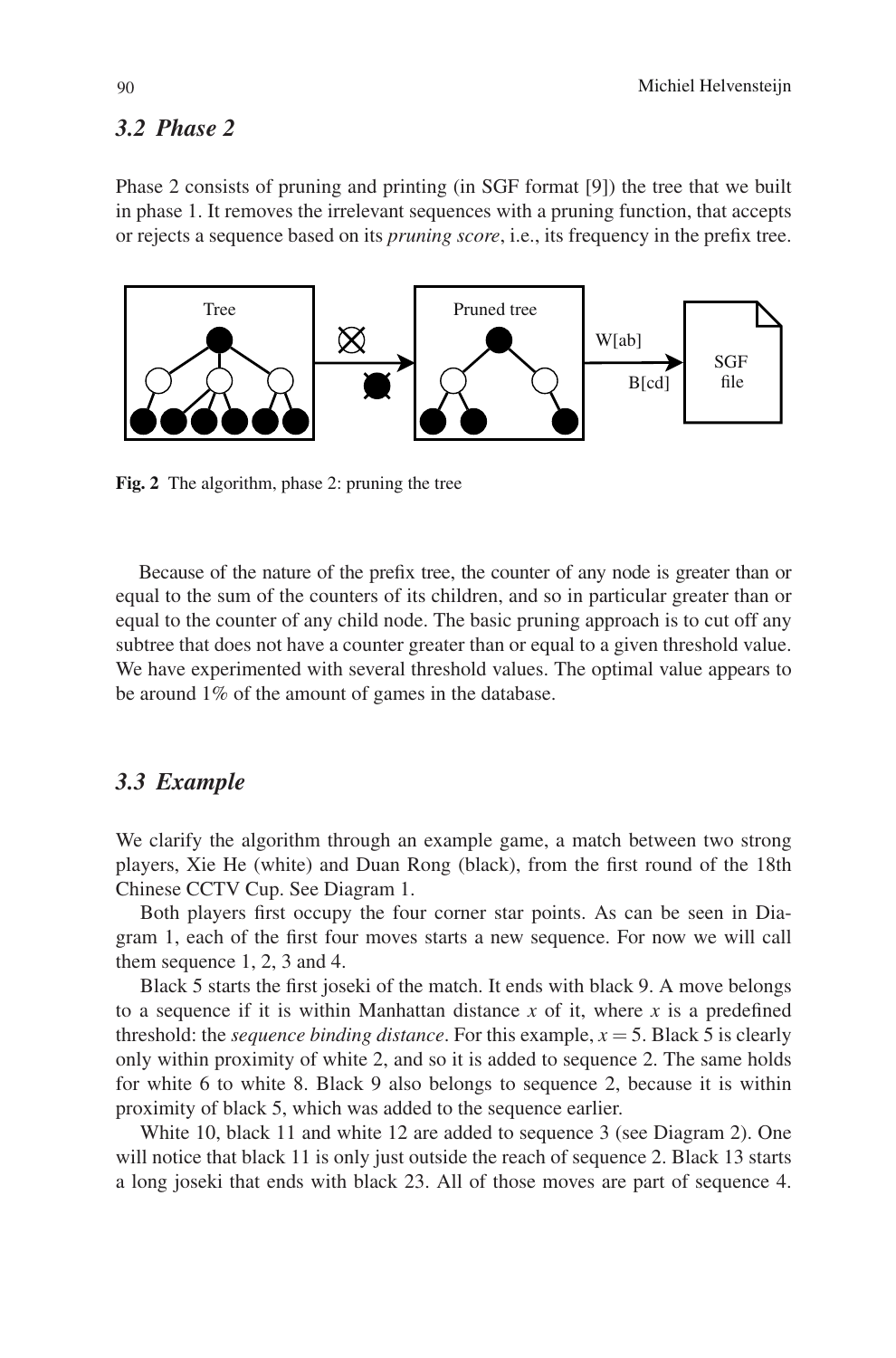# *3.2 Phase 2*

Phase 2 consists of pruning and printing (in SGF format [9]) the tree that we built in phase 1. It removes the irrelevant sequences with a pruning function, that accepts or rejects a sequence based on its *pruning score*, i.e., its frequency in the prefix tree.



Fig. 2 The algorithm, phase 2: pruning the tree

equal to the sum of the counters of its children, and so in particular greater than or equal to the counter of any child node. The basic pruning approach is to cut off any subtree that does not have a counter greater than or equal to a given threshold value. We have experimented with several threshold values. The optimal value appears to be around 1% of the amount of games in the database. Because of the nature of the prefix tree, the counter of any node is greater than or

#### *3.3 Example*

We clarify the algorithm through an example game, a match between two strong players, Xie He (white) and Duan Rong (black), from the first round of the 18th Chinese CCTV Cup. See Diagram 1.

Both players first occupy the four corner star points. As can be seen in Diagram 1, each of the first four moves starts a new sequence. For now we will call them sequence 1, 2, 3 and 4.

Black 5 starts the first joseki of the match. It ends with black 9. A move belongs to a sequence if it is within Manhattan distance *x* of it, where *x* is a predefined threshold: the *sequence binding distance*. For this example,  $x = 5$ . Black 5 is clearly only within proximity of white 2, and so it is added to sequence 2. The same holds for white 6 to white 8. Black 9 also belongs to sequence 2, because it is within proximity of black 5, which was added to the sequence earlier.

White 10, black 11 and white 12 are added to sequence 3 (see Diagram 2). One will notice that black 11 is only just outside the reach of sequence 2. Black 13 starts a long joseki that ends with black 23. All of those moves are part of sequence 4.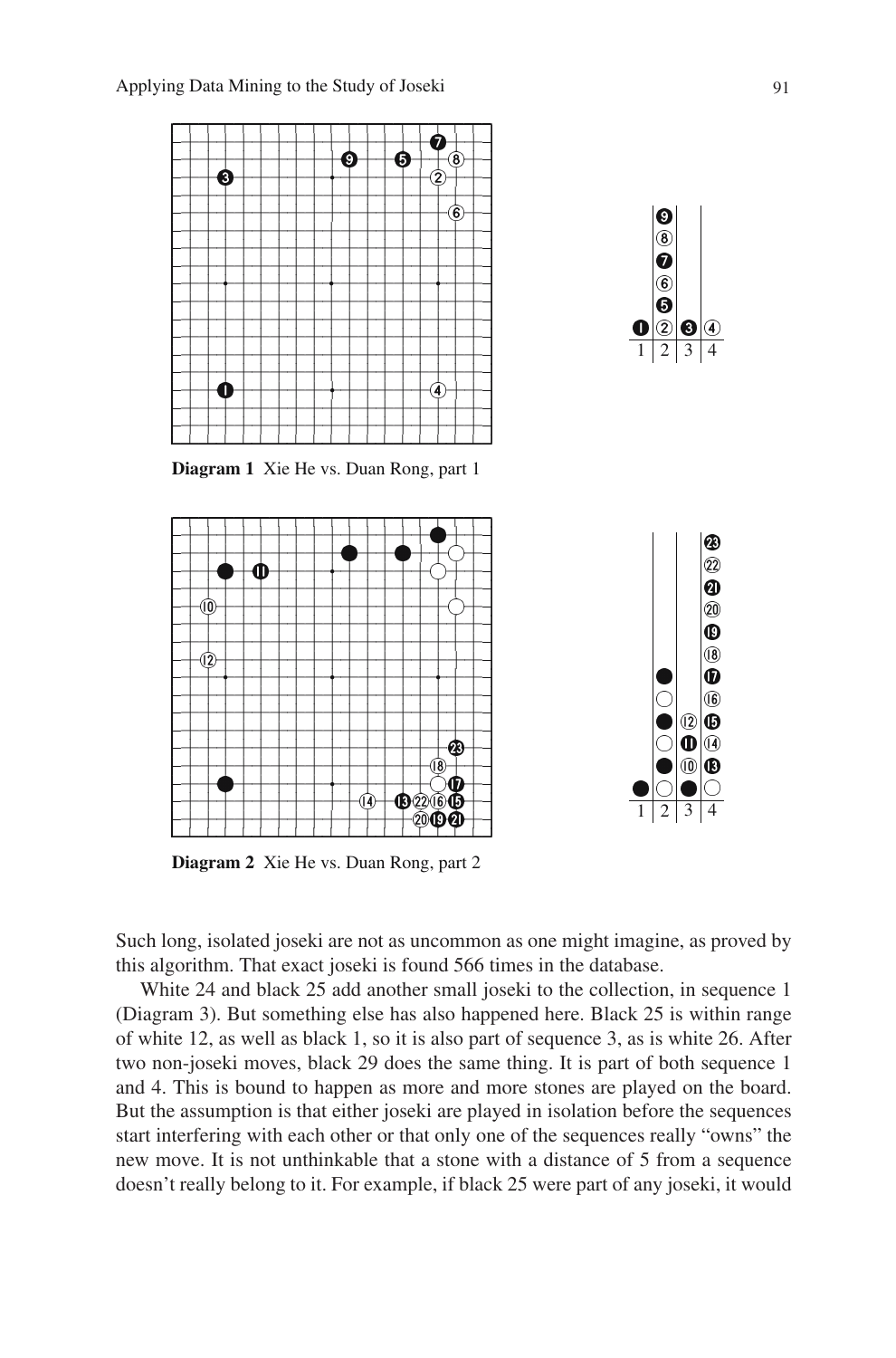

Diagram 2 Xie He vs. Duan Rong, part 2

Such long, isolated joseki are not as uncommon as one might imagine, as proved by this algorithm. That exact joseki is found 566 times in the database.

White 24 and black 25 add another small joseki to the collection, in sequence 1 (Diagram 3). But something else has also happened here. Black 25 is within range of white 12, as well as black 1, so it is also part of sequence 3, as is white 26. After two non-joseki moves, black 29 does the same thing. It is part of both sequence 1 and 4. This is bound to happen as more and more stones are played on the board. But the assumption is that either joseki are played in isolation before the sequences start interfering with each other or that only one of the sequences really "owns" the new move. It is not unthinkable that a stone with a distance of 5 from a sequence doesn't really belong to it. For example, if black 25 were part of any joseki, it would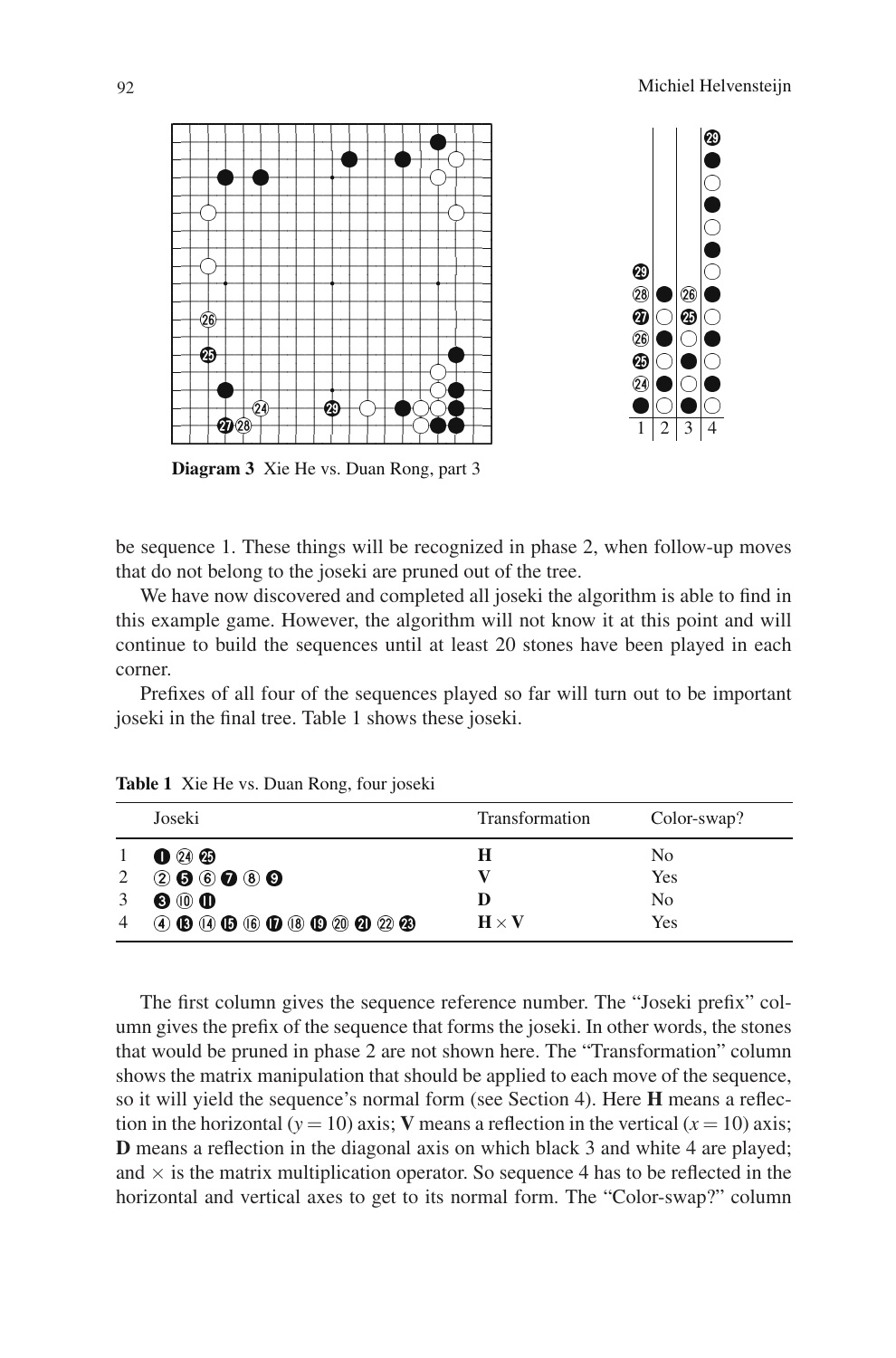

Diagram 3 Xie He vs. Duan Rong, part 3

be sequence 1. These things will be recognized in phase 2, when follow-up moves that do not belong to the joseki are pruned out of the tree.

We have now discovered and completed all joseki the algorithm is able to find in this example game. However, the algorithm will not know it at this point and will continue to build the sequences until at least 20 stones have been played in each corner.

Prefixes of all four of the sequences played so far will turn out to be important joseki in the final tree. Table 1 shows these joseki.

|                | Joseki                                 | Transformation | Color-swap?    |
|----------------|----------------------------------------|----------------|----------------|
|                | $\mathbf{0}$ $\mathbb{Z}$ $\mathbb{Q}$ | н              | No             |
| 2              | 200000                                 |                | Yes            |
| 3              | $\mathbf{O} \circledcirc \mathbf{O}$   | D              | N <sub>0</sub> |
| $\overline{4}$ | 4 6 4 6 6 6 7 8 9 2 4 2 3              | $H \times V$   | Yes            |

Table 1 Xie He vs. Duan Rong, four joseki

The first column gives the sequence reference number. The "Joseki prefix" column gives the prefix of the sequence that forms the joseki. In other words, the stones that would be pruned in phase 2 are not shown here. The "Transformation" column shows the matrix manipulation that should be applied to each move of the sequence, so it will yield the sequence's normal form (see Section 4). Here H means a reflection in the horizontal ( $y = 10$ ) axis; V means a reflection in the vertical ( $x = 10$ ) axis; D means a reflection in the diagonal axis on which black 3 and white 4 are played; and  $\times$  is the matrix multiplication operator. So sequence 4 has to be reflected in the horizontal and vertical axes to get to its normal form. The "Color-swap?" column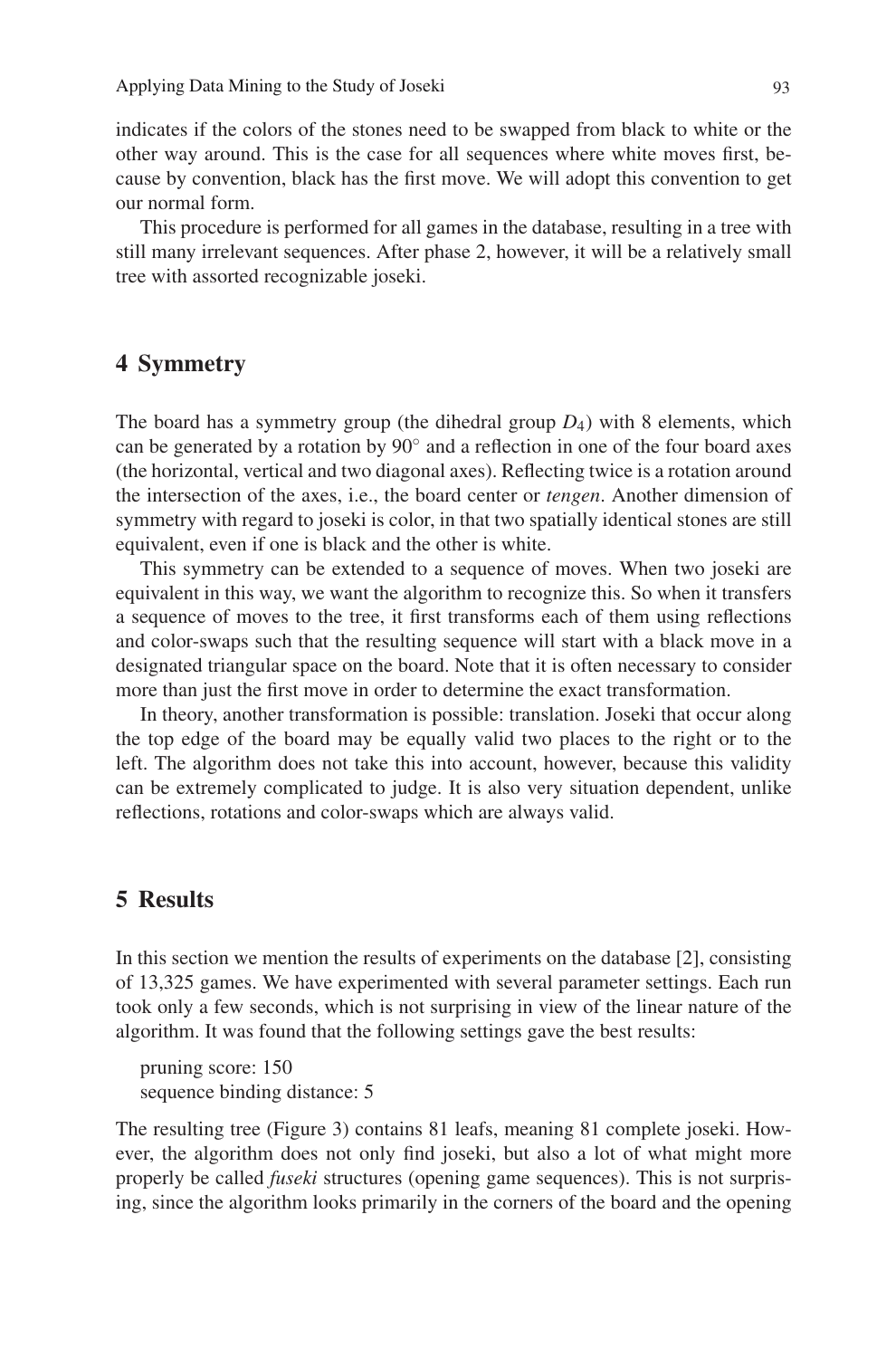indicates if the colors of the stones need to be swapped from black to white or the other way around. This is the case for all sequences where white moves first, because by convention, black has the first move. We will adopt this convention to get our normal form.

This procedure is performed for all games in the database, resulting in a tree with still many irrelevant sequences. After phase 2, however, it will be a relatively small tree with assorted recognizable joseki.

## 4 Symmetry

The board has a symmetry group (the dihedral group *D*4) with 8 elements, which can be generated by a rotation by  $90^\circ$  and a reflection in one of the four board axes (the horizontal, vertical and two diagonal axes). Reflecting twice is a rotation around the intersection of the axes, i.e., the board center or *tengen*. Another dimension of symmetry with regard to joseki is color, in that two spatially identical stones are still equivalent, even if one is black and the other is white.

This symmetry can be extended to a sequence of moves. When two joseki are equivalent in this way, we want the algorithm to recognize this. So when it transfers a sequence of moves to the tree, it first transforms each of them using reflections and color-swaps such that the resulting sequence will start with a black move in a designated triangular space on the board. Note that it is often necessary to consider more than just the first move in order to determine the exact transformation.

In theory, another transformation is possible: translation. Joseki that occur along the top edge of the board may be equally valid two places to the right or to the left. The algorithm does not take this into account, however, because this validity can be extremely complicated to judge. It is also very situation dependent, unlike reflections, rotations and color-swaps which are always valid.

#### 5 Results

In this section we mention the results of experiments on the database [2], consisting of 13,325 games. We have experimented with several parameter settings. Each run took only a few seconds, which is not surprising in view of the linear nature of the algorithm. It was found that the following settings gave the best results:

pruning score: 150 sequence binding distance: 5

The resulting tree (Figure 3) contains 81 leafs, meaning 81 complete joseki. However, the algorithm does not only find joseki, but also a lot of what might more properly be called *fuseki* structures (opening game sequences). This is not surprising, since the algorithm looks primarily in the corners of the board and the opening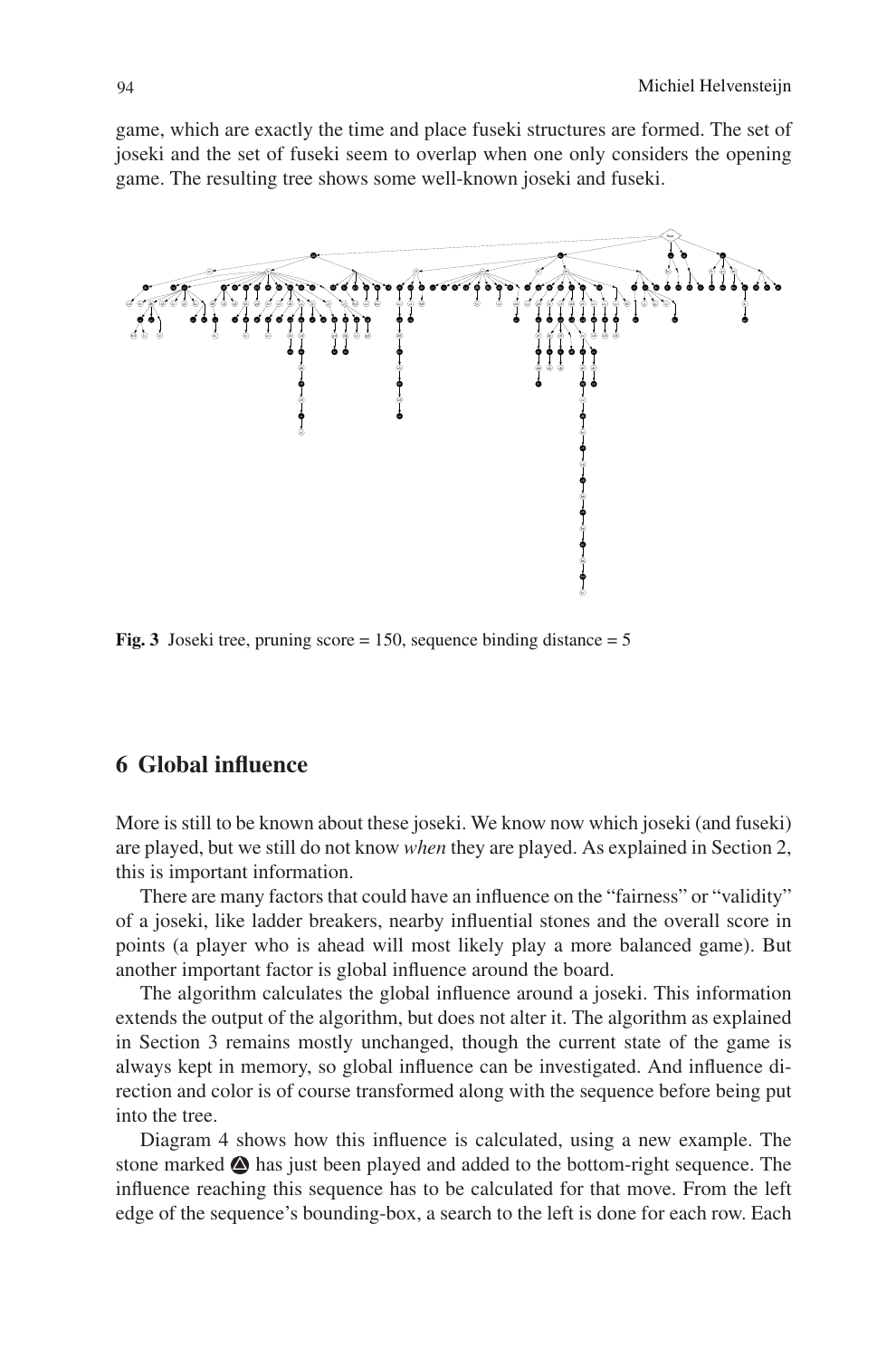game, which are exactly the time and place fuseki structures are formed. The set of joseki and the set of fuseki seem to overlap when one only considers the opening game. The resulting tree shows some well-known joseki and fuseki.



**Fig. 3** Joseki tree, pruning score = 150, sequence binding distance =  $5$ 

## 6 Global influence

More is still to be known about these joseki. We know now which joseki (and fuseki) are played, but we still do not know *when* they are played. As explained in Section 2, this is important information.

There are many factors that could have an influence on the "fairness" or "validity" of a joseki, like ladder breakers, nearby influential stones and the overall score in points (a player who is ahead will most likely play a more balanced game). But another important factor is global influence around the board.

The algorithm calculates the global influence around a joseki. This information extends the output of the algorithm, but does not alter it. The algorithm as explained in Section 3 remains mostly unchanged, though the current state of the game is always kept in memory, so global influence can be investigated. And influence direction and color is of course transformed along with the sequence before being put into the tree.

Diagram 4 shows how this influence is calculated, using a new example. The stone marked  $\triangle$  has just been played and added to the bottom-right sequence. The influence reaching this sequence has to be calculated for that move. From the left edge of the sequence's bounding-box, a search to the left is done for each row. Each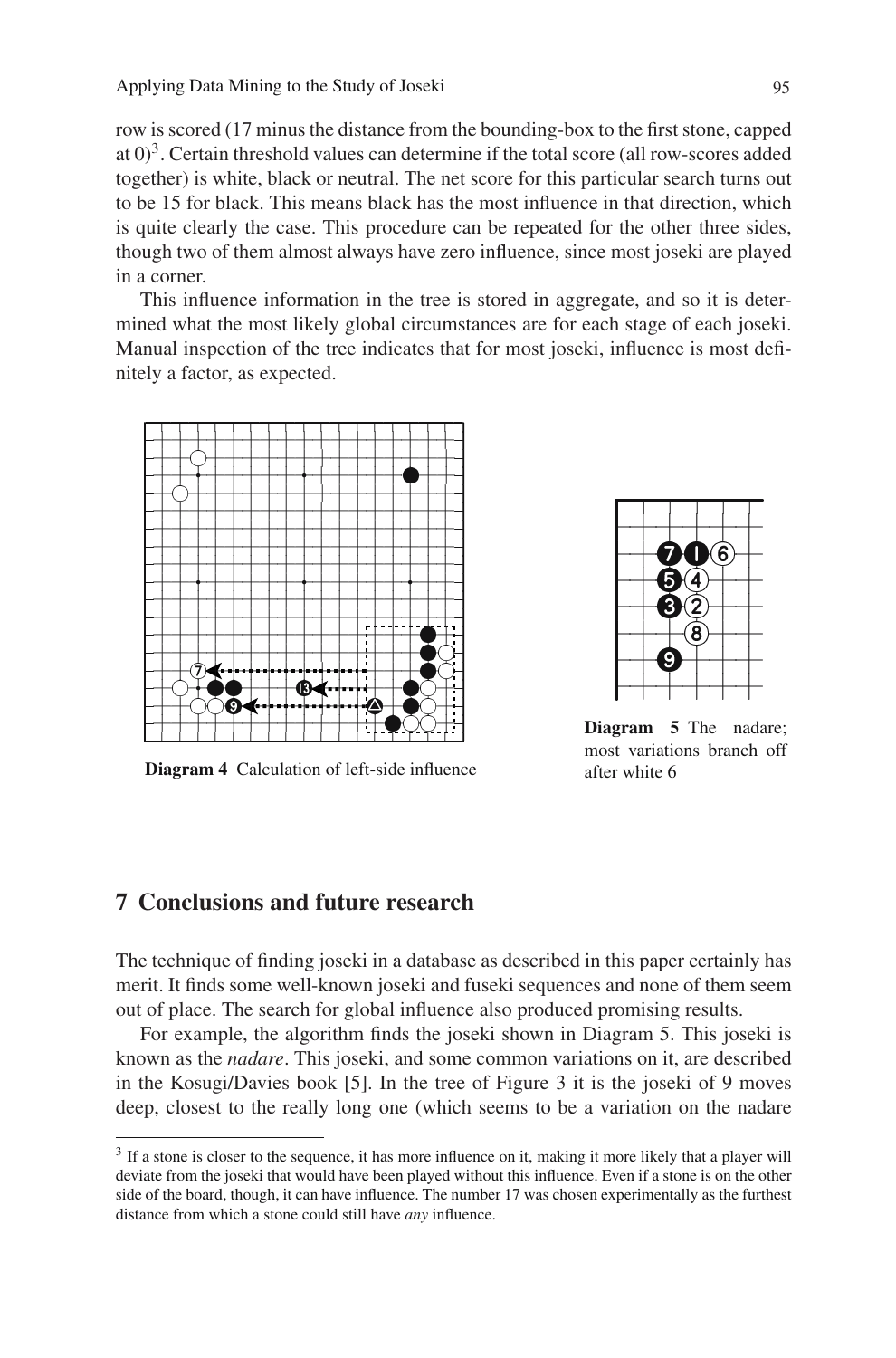row is scored (17 minus the distance from the bounding-box to the first stone, capped at  $0<sup>3</sup>$ . Certain threshold values can determine if the total score (all row-scores added together) is white, black or neutral. The net score for this particular search turns out to be 15 for black. This means black has the most influence in that direction, which is quite clearly the case. This procedure can be repeated for the other three sides, though two of them almost always have zero influence, since most joseki are played in a corner.

This influence information in the tree is stored in aggregate, and so it is determined what the most likely global circumstances are for each stage of each joseki. Manual inspection of the tree indicates that for most joseki, influence is most definitely a factor, as expected.



Diagram 4 Calculation of left-side influence



Diagram 5 The nadare; most variations branch off after white 6

# 7 Conclusions and future research

The technique of finding joseki in a database as described in this paper certainly has merit. It finds some well-known joseki and fuseki sequences and none of them seem out of place. The search for global influence also produced promising results.

For example, the algorithm finds the joseki shown in Diagram 5. This joseki is known as the *nadare*. This joseki, and some common variations on it, are described in the Kosugi/Davies book [5]. In the tree of Figure 3 it is the joseki of 9 moves deep, closest to the really long one (which seems to be a variation on the nadare

<sup>&</sup>lt;sup>3</sup> If a stone is closer to the sequence, it has more influence on it, making it more likely that a player will deviate from the joseki that would have been played without this influence. Even if a stone is on the other side of the board, though, it can have influence. The number 17 was chosen experimentally as the furthest distance from which a stone could still have *any* influence.